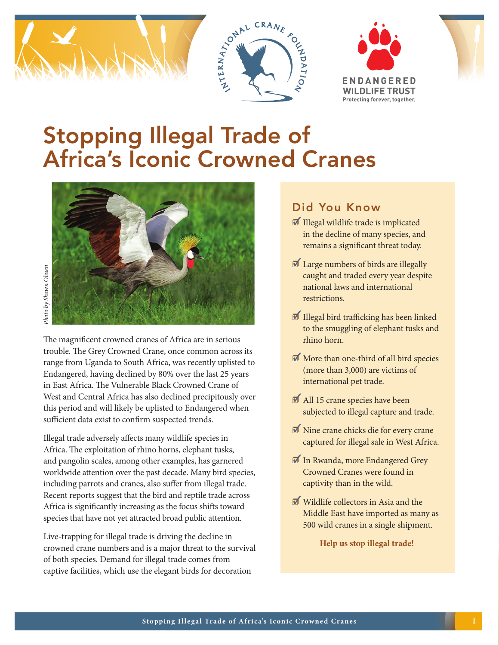







# Stopping Illegal Trade of Africa's Iconic Crowned Cranes



The magnificent crowned cranes of Africa are in serious trouble. The Grey Crowned Crane, once common across its range from Uganda to South Africa, was recently uplisted to Endangered, having declined by 80% over the last 25 years in East Africa. The Vulnerable Black Crowned Crane of West and Central Africa has also declined precipitously over this period and will likely be uplisted to Endangered when sufficient data exist to confirm suspected trends. For the magnificent crowned cranes of Africa are in serious trouble. The Grey Crowned Crane, once common across its range from Uganda to South Africa, was recently uplisted to Endangered, having declined by 80% over the la

Illegal trade adversely affects many wildlife species in Africa. The exploitation of rhino horns, elephant tusks, and pangolin scales, among other examples, has garnered worldwide attention over the past decade. Many bird species, including parrots and cranes, also suffer from illegal trade. Recent reports suggest that the bird and reptile trade across Africa is significantly increasing as the focus shifts toward species that have not yet attracted broad public attention.

Live-trapping for illegal trade is driving the decline in crowned crane numbers and is a major threat to the survival of both species. Demand for illegal trade comes from

#### Did You Know

- $\blacksquare$  Illegal wildlife trade is implicated in the decline of many species, and remains a significant threat today.
- $\blacksquare$  Large numbers of birds are illegally caught and traded every year despite national laws and international restrictions.
- $\blacksquare$  Illegal bird trafficking has been linked to the smuggling of elephant tusks and rhino horn.
- $\blacksquare$  More than one-third of all bird species (more than 3,000) are victims of international pet trade.
- $\blacksquare$  All 15 crane species have been subjected to illegal capture and trade.
- $\blacksquare$  Nine crane chicks die for every crane captured for illegal sale in West Africa.
- In Rwanda, more Endangered Grey Crowned Cranes were found in captivity than in the wild.
- $\blacksquare$  Wildlife collectors in Asia and the Middle East have imported as many as 500 wild cranes in a single shipment.

**Help us stop illegal trade!**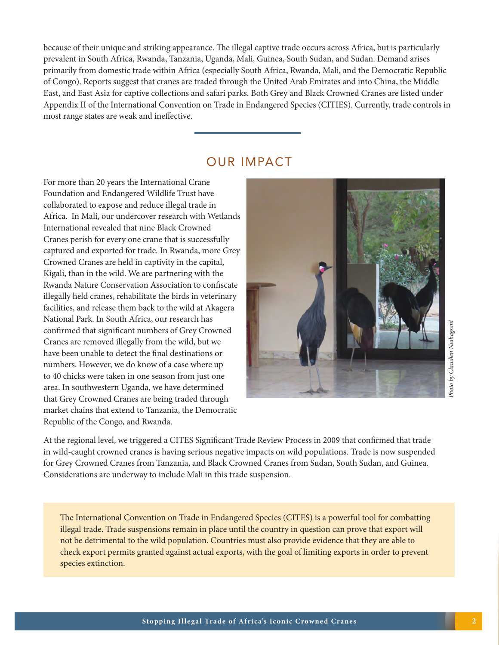because of their unique and striking appearance. The illegal captive trade occurs across Africa, but is particularly prevalent in South Africa, Rwanda, Tanzania, Uganda, Mali, Guinea, South Sudan, and Sudan. Demand arises primarily from domestic trade within Africa (especially South Africa, Rwanda, Mali, and the Democratic Republic of Congo). Reports suggest that cranes are traded through the United Arab Emirates and into China, the Middle East, and East Asia for captive collections and safari parks. Both Grey and Black Crowned Cranes are listed under Appendix II of the International Convention on Trade in Endangered Species (CITIES). Currently, trade controls in most range states are weak and ineffective.

### OUR IMPACT

For more than 20 years the International Crane Foundation and Endangered Wildlife Trust have collaborated to expose and reduce illegal trade in Africa. In Mali, our undercover research with Wetlands International revealed that nine Black Crowned Cranes perish for every one crane that is successfully captured and exported for trade. In Rwanda, more Grey Crowned Cranes are held in captivity in the capital, Kigali, than in the wild. We are partnering with the Rwanda Nature Conservation Association to confiscate illegally held cranes, rehabilitate the birds in veterinary facilities, and release them back to the wild at Akagera National Park. In South Africa, our research has confirmed that significant numbers of Grey Crowned Cranes are removed illegally from the wild, but we have been unable to detect the final destinations or numbers. However, we do know of a case where up to 40 chicks were taken in one season from just one area. In southwestern Uganda, we have determined that Grey Crowned Cranes are being traded through market chains that extend to Tanzania, the Democratic Republic of the Congo, and Rwanda.



Photo by Claudien Nsabagsani *Photo by Claudien Nsabagsani*

At the regional level, we triggered a CITES Significant Trade Review Process in 2009 that confirmed that trade in wild-caught crowned cranes is having serious negative impacts on wild populations. Trade is now suspended for Grey Crowned Cranes from Tanzania, and Black Crowned Cranes from Sudan, South Sudan, and Guinea. Considerations are underway to include Mali in this trade suspension.

The International Convention on Trade in Endangered Species (CITES) is a powerful tool for combatting illegal trade. Trade suspensions remain in place until the country in question can prove that export will not be detrimental to the wild population. Countries must also provide evidence that they are able to check export permits granted against actual exports, with the goal of limiting exports in order to prevent species extinction.